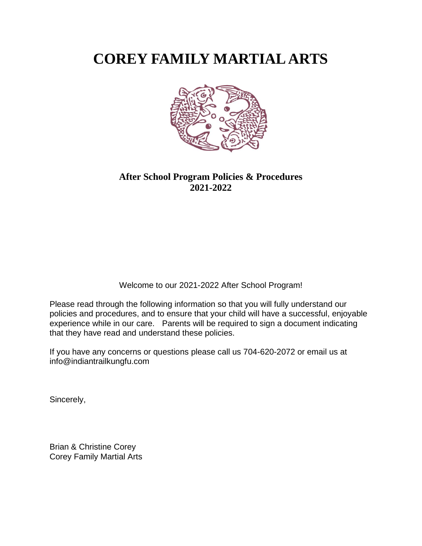# **COREY FAMILY MARTIAL ARTS**



# **After School Program Policies & Procedures 2021-2022**

Welcome to our 2021-2022 After School Program!

Please read through the following information so that you will fully understand our policies and procedures, and to ensure that your child will have a successful, enjoyable experience while in our care. Parents will be required to sign a document indicating that they have read and understand these policies.

If you have any concerns or questions please call us 704-620-2072 or email us at info@indiantrailkungfu.com

Sincerely,

Brian & Christine Corey Corey Family Martial Arts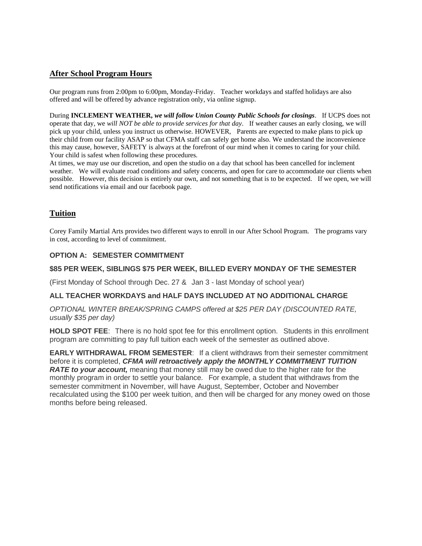# **After School Program Hours**

Our program runs from 2:00pm to 6:00pm, Monday-Friday. Teacher workdays and staffed holidays are also offered and will be offered by advance registration only, via online signup.

During **INCLEMENT WEATHER,** *we will follow Union County Public Schools for closings*. If UCPS does not operate that day, we *will NOT be able to provide services for that day*. If weather causes an early closing, we will pick up your child, unless you instruct us otherwise. HOWEVER, Parents are expected to make plans to pick up their child from our facility ASAP so that CFMA staff can safely get home also. We understand the inconvenience this may cause, however, SAFETY is always at the forefront of our mind when it comes to caring for your child. Your child is safest when following these procedures.

At times, we may use our discretion, and open the studio on a day that school has been cancelled for inclement weather. We will evaluate road conditions and safety concerns, and open for care to accommodate our clients when possible. However, this decision is entirely our own, and not something that is to be expected. If we open, we will send notifications via email and our facebook page.

## **Tuition**

Corey Family Martial Arts provides two different ways to enroll in our After School Program. The programs vary in cost, according to level of commitment.

#### **OPTION A: SEMESTER COMMITMENT**

#### **\$85 PER WEEK, SIBLINGS \$75 PER WEEK, BILLED EVERY MONDAY OF THE SEMESTER**

(First Monday of School through Dec. 27 & Jan 3 - last Monday of school year)

#### **ALL TEACHER WORKDAYS and HALF DAYS INCLUDED AT NO ADDITIONAL CHARGE**

*OPTIONAL WINTER BREAK/SPRING CAMPS offered at \$25 PER DAY (DISCOUNTED RATE, usually \$35 per day)*

**HOLD SPOT FEE**: There is no hold spot fee for this enrollment option. Students in this enrollment program are committing to pay full tuition each week of the semester as outlined above.

**EARLY WITHDRAWAL FROM SEMESTER:** If a client withdraws from their semester commitment before it is completed, *CFMA will retroactively apply the MONTHLY COMMITMENT TUITION RATE to your account,* meaning that money still may be owed due to the higher rate for the monthly program in order to settle your balance. For example, a student that withdraws from the semester commitment in November, will have August, September, October and November recalculated using the \$100 per week tuition, and then will be charged for any money owed on those months before being released.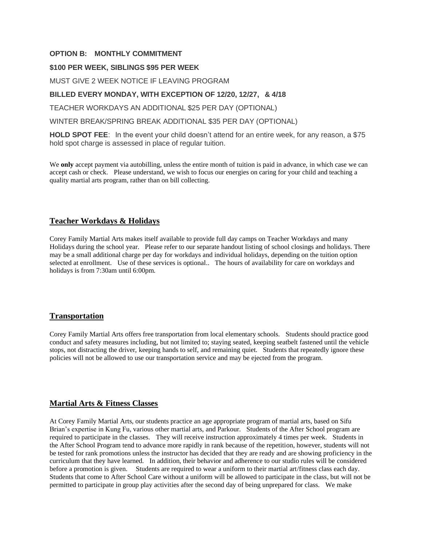#### **OPTION B: MONTHLY COMMITMENT**

#### **\$100 PER WEEK, SIBLINGS \$95 PER WEEK**

MUST GIVE 2 WEEK NOTICE IF LEAVING PROGRAM

#### **BILLED EVERY MONDAY, WITH EXCEPTION OF 12/20, 12/27, & 4/18**

TEACHER WORKDAYS AN ADDITIONAL \$25 PER DAY (OPTIONAL)

WINTER BREAK/SPRING BREAK ADDITIONAL \$35 PER DAY (OPTIONAL)

**HOLD SPOT FEE**: In the event your child doesn't attend for an entire week, for any reason, a \$75 hold spot charge is assessed in place of regular tuition.

We **only** accept payment via autobilling, unless the entire month of tuition is paid in advance, in which case we can accept cash or check.Please understand, we wish to focus our energies on caring for your child and teaching a quality martial arts program, rather than on bill collecting.

## **Teacher Workdays & Holidays**

Corey Family Martial Arts makes itself available to provide full day camps on Teacher Workdays and many Holidays during the school year. Please refer to our separate handout listing of school closings and holidays. There may be a small additional charge per day for workdays and individual holidays, depending on the tuition option selected at enrollment. Use of these services is optional.. The hours of availability for care on workdays and holidays is from 7:30am until 6:00pm.

#### **Transportation**

Corey Family Martial Arts offers free transportation from local elementary schools. Students should practice good conduct and safety measures including, but not limited to; staying seated, keeping seatbelt fastened until the vehicle stops, not distracting the driver, keeping hands to self, and remaining quiet. Students that repeatedly ignore these policies will not be allowed to use our transportation service and may be ejected from the program.

#### **Martial Arts & Fitness Classes**

At Corey Family Martial Arts, our students practice an age appropriate program of martial arts, based on Sifu Brian's expertise in Kung Fu, various other martial arts, and Parkour. Students of the After School program are required to participate in the classes. They will receive instruction approximately 4 times per week. Students in the After School Program tend to advance more rapidly in rank because of the repetition, however, students will not be tested for rank promotions unless the instructor has decided that they are ready and are showing proficiency in the curriculum that they have learned. In addition, their behavior and adherence to our studio rules will be considered before a promotion is given. Students are required to wear a uniform to their martial art/fitness class each day. Students that come to After School Care without a uniform will be allowed to participate in the class, but will not be permitted to participate in group play activities after the second day of being unprepared for class. We make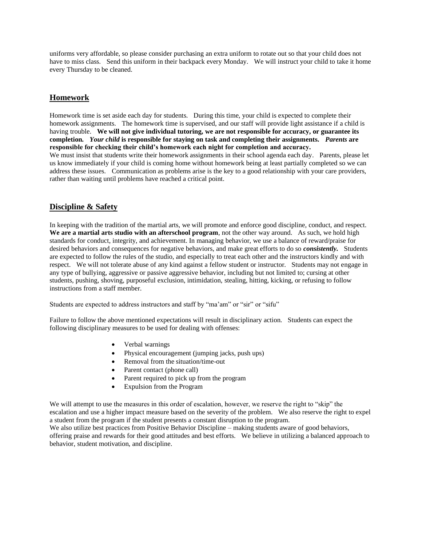uniforms very affordable, so please consider purchasing an extra uniform to rotate out so that your child does not have to miss class. Send this uniform in their backpack every Monday. We will instruct your child to take it home every Thursday to be cleaned.

#### **Homework**

Homework time is set aside each day for students. During this time, your child is expected to complete their homework assignments. The homework time is supervised, and our staff will provide light assistance if a child is having trouble. We will not give individual tutoring, we are not responsible for accuracy, or guarantee its **completion***. Your child* **is responsible for staying on task and completing their assignments.** *Parents* **are responsible for checking their child's homework each night for completion and accuracy.** 

We must insist that students write their homework assignments in their school agenda each day. Parents, please let us know immediately if your child is coming home without homework being at least partially completed so we can address these issues. Communication as problems arise is the key to a good relationship with your care providers, rather than waiting until problems have reached a critical point.

# **Discipline & Safety**

In keeping with the tradition of the martial arts, we will promote and enforce good discipline, conduct, and respect. **We are a martial arts studio with an afterschool program**, not the other way around. As such, we hold high standards for conduct, integrity, and achievement. In managing behavior, we use a balance of reward/praise for desired behaviors and consequences for negative behaviors, and make great efforts to do so *consistently.* Students are expected to follow the rules of the studio, and especially to treat each other and the instructors kindly and with respect. We will not tolerate abuse of any kind against a fellow student or instructor. Students may not engage in any type of bullying, aggressive or passive aggressive behavior, including but not limited to; cursing at other students, pushing, shoving, purposeful exclusion, intimidation, stealing, hitting, kicking, or refusing to follow instructions from a staff member.

Students are expected to address instructors and staff by "ma'am" or "sir" or "sifu"

Failure to follow the above mentioned expectations will result in disciplinary action. Students can expect the following disciplinary measures to be used for dealing with offenses:

- Verbal warnings
- Physical encouragement (jumping jacks, push ups)
- Removal from the situation/time-out
- Parent contact (phone call)
- Parent required to pick up from the program
- Expulsion from the Program

We will attempt to use the measures in this order of escalation, however, we reserve the right to "skip" the escalation and use a higher impact measure based on the severity of the problem. We also reserve the right to expel a student from the program if the student presents a constant disruption to the program.

We also utilize best practices from Positive Behavior Discipline – making students aware of good behaviors, offering praise and rewards for their good attitudes and best efforts. We believe in utilizing a balanced approach to behavior, student motivation, and discipline.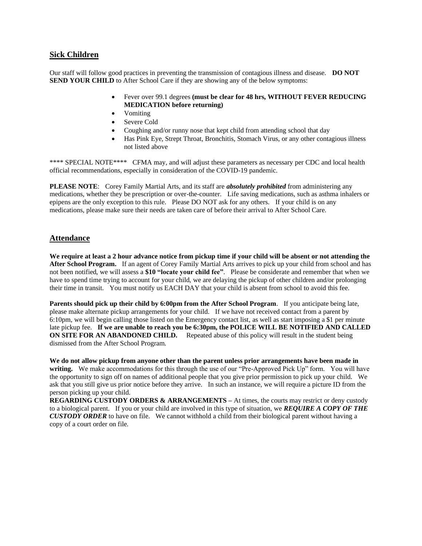#### **Sick Children**

Our staff will follow good practices in preventing the transmission of contagious illness and disease. **DO NOT SEND YOUR CHILD** to After School Care if they are showing any of the below symptoms:

- Fever over 99.1 degrees **(must be clear for 48 hrs, WITHOUT FEVER REDUCING MEDICATION before returning)**
- Vomiting
- Severe Cold
- Coughing and/or runny nose that kept child from attending school that day
- Has Pink Eye, Strept Throat, Bronchitis, Stomach Virus, or any other contagious illness not listed above

\*\*\*\* SPECIAL NOTE\*\*\*\* CFMA may, and will adjust these parameters as necessary per CDC and local health official recommendations, especially in consideration of the COVID-19 pandemic.

**PLEASE NOTE**: Corey Family Martial Arts, and its staff are *absolutely prohibited* from administering any medications, whether they be prescription or over-the-counter. Life saving medications, such as asthma inhalers or epipens are the only exception to this rule. Please DO NOT ask for any others. If your child is on any medications, please make sure their needs are taken care of before their arrival to After School Care.

#### **Attendance**

**We require at least a 2 hour advance notice from pickup time if your child will be absent or not attending the After School Program.** If an agent of Corey Family Martial Arts arrives to pick up your child from school and has not been notified, we will assess a **\$10 "locate your child fee"**. Please be considerate and remember that when we have to spend time trying to account for your child, we are delaying the pickup of other children and/or prolonging their time in transit. You must notify us EACH DAY that your child is absent from school to avoid this fee.

**Parents should pick up their child by 6:00pm from the After School Program**. If you anticipate being late, please make alternate pickup arrangements for your child. If we have not received contact from a parent by 6:10pm, we will begin calling those listed on the Emergency contact list, as well as start imposing a \$1 per minute late pickup fee. **If we are unable to reach you be 6:30pm, the POLICE WILL BE NOTIFIED AND CALLED ON SITE FOR AN ABANDONED CHILD.** Repeated abuse of this policy will result in the student being dismissed from the After School Program.

**We do not allow pickup from anyone other than the parent unless prior arrangements have been made in**  writing. We make accommodations for this through the use of our "Pre-Approved Pick Up" form. You will have the opportunity to sign off on names of additional people that you give prior permission to pick up your child. We ask that you still give us prior notice before they arrive. In such an instance, we will require a picture ID from the person picking up your child.

**REGARDING CUSTODY ORDERS & ARRANGEMENTS** – At times, the courts may restrict or deny custody to a biological parent. If you or your child are involved in this type of situation, we *REQUIRE A COPY OF THE CUSTODY ORDER* to have on file. We cannot withhold a child from their biological parent without having a copy of a court order on file.